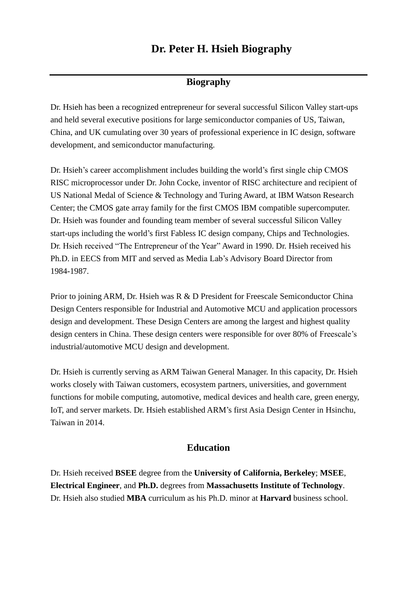# **Dr. Peter H. Hsieh Biography**

### **Biography**

Dr. Hsieh has been a recognized entrepreneur for several successful Silicon Valley start-ups and held several executive positions for large semiconductor companies of US, Taiwan, China, and UK cumulating over 30 years of professional experience in IC design, software development, and semiconductor manufacturing.

Dr. Hsieh's career accomplishment includes building the world's first single chip CMOS RISC microprocessor under Dr. John Cocke, inventor of RISC architecture and recipient of US National Medal of Science & Technology and Turing Award, at IBM Watson Research Center; the CMOS gate array family for the first CMOS IBM compatible supercomputer. Dr. Hsieh was founder and founding team member of several successful Silicon Valley start-ups including the world's first Fabless IC design company, Chips and Technologies. Dr. Hsieh received "The Entrepreneur of the Year" Award in 1990. Dr. Hsieh received his Ph.D. in EECS from MIT and served as Media Lab's Advisory Board Director from 1984-1987.

Prior to joining ARM, Dr. Hsieh was R & D President for Freescale Semiconductor China Design Centers responsible for Industrial and Automotive MCU and application processors design and development. These Design Centers are among the largest and highest quality design centers in China. These design centers were responsible for over 80% of Freescale's industrial/automotive MCU design and development.

Dr. Hsieh is currently serving as ARM Taiwan General Manager. In this capacity, Dr. Hsieh works closely with Taiwan customers, ecosystem partners, universities, and government functions for mobile computing, automotive, medical devices and health care, green energy, IoT, and server markets. Dr. Hsieh established ARM's first Asia Design Center in Hsinchu, Taiwan in 2014.

#### **Education**

Dr. Hsieh received **BSEE** degree from the **University of California, Berkeley**; **MSEE**, **Electrical Engineer**, and **Ph.D.** degrees from **Massachusetts Institute of Technology**. Dr. Hsieh also studied **MBA** curriculum as his Ph.D. minor at **Harvard** business school.